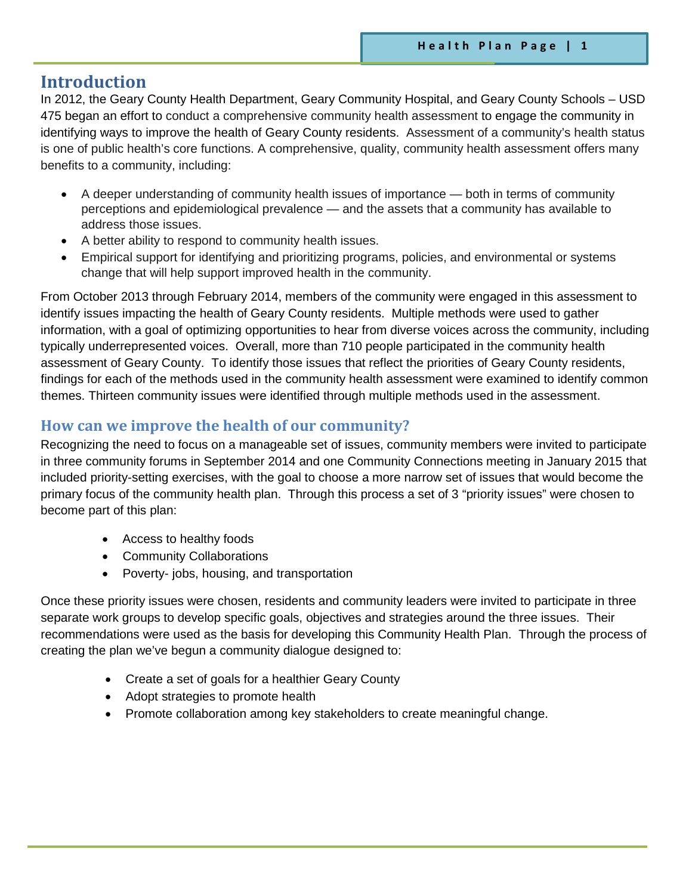## **Introduction**

In 2012, the Geary County Health Department, Geary Community Hospital, and Geary County Schools – USD 475 began an effort to conduct a comprehensive community health assessment to engage the community in identifying ways to improve the health of Geary County residents. Assessment of a community's health status is one of public health's core functions. A comprehensive, quality, community health assessment offers many benefits to a community, including:

- A deeper understanding of community health issues of importance both in terms of community perceptions and epidemiological prevalence — and the assets that a community has available to address those issues.
- A better ability to respond to community health issues.
- Empirical support for identifying and prioritizing programs, policies, and environmental or systems change that will help support improved health in the community.

From October 2013 through February 2014, members of the community were engaged in this assessment to identify issues impacting the health of Geary County residents. Multiple methods were used to gather information, with a goal of optimizing opportunities to hear from diverse voices across the community, including typically underrepresented voices. Overall, more than 710 people participated in the community health assessment of Geary County. To identify those issues that reflect the priorities of Geary County residents, findings for each of the methods used in the community health assessment were examined to identify common themes. Thirteen community issues were identified through multiple methods used in the assessment.

## **How can we improve the health of our community?**

Recognizing the need to focus on a manageable set of issues, community members were invited to participate in three community forums in September 2014 and one Community Connections meeting in January 2015 that included priority-setting exercises, with the goal to choose a more narrow set of issues that would become the primary focus of the community health plan. Through this process a set of 3 "priority issues" were chosen to become part of this plan:

- Access to healthy foods
- Community Collaborations
- Poverty- jobs, housing, and transportation

Once these priority issues were chosen, residents and community leaders were invited to participate in three separate work groups to develop specific goals, objectives and strategies around the three issues. Their recommendations were used as the basis for developing this Community Health Plan. Through the process of creating the plan we've begun a community dialogue designed to:

- Create a set of goals for a healthier Geary County
- Adopt strategies to promote health
- Promote collaboration among key stakeholders to create meaningful change.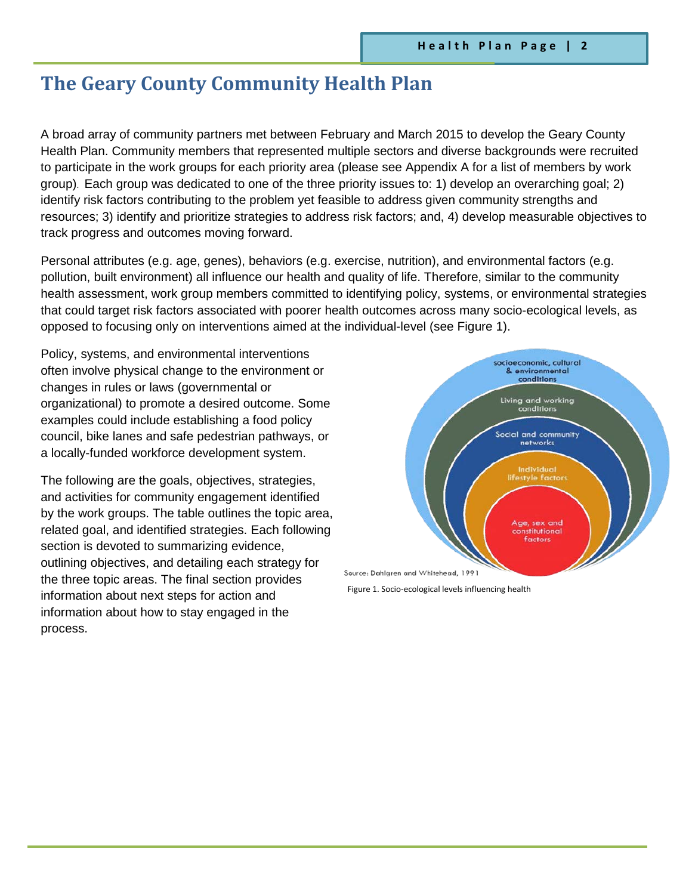## **The Geary County Community Health Plan**

A broad array of community partners met between February and March 2015 to develop the Geary County Health Plan. Community members that represented multiple sectors and diverse backgrounds were recruited to participate in the work groups for each priority area (please see Appendix A for a list of members by work group). Each group was dedicated to one of the three priority issues to: 1) develop an overarching goal; 2) identify risk factors contributing to the problem yet feasible to address given community strengths and resources; 3) identify and prioritize strategies to address risk factors; and, 4) develop measurable objectives to track progress and outcomes moving forward.

Personal attributes (e.g. age, genes), behaviors (e.g. exercise, nutrition), and environmental factors (e.g. pollution, built environment) all influence our health and quality of life. Therefore, similar to the community health assessment, work group members committed to identifying policy, systems, or environmental strategies that could target risk factors associated with poorer health outcomes across many socio-ecological levels, as opposed to focusing only on interventions aimed at the individual-level (see Figure 1).

Policy, systems, and environmental interventions often involve physical change to the environment or changes in rules or laws (governmental or organizational) to promote a desired outcome. Some examples could include establishing a food policy council, bike lanes and safe pedestrian pathways, or a locally-funded workforce development system.

The following are the goals, objectives, strategies, and activities for community engagement identified by the work groups. The table outlines the topic area, related goal, and identified strategies. Each following section is devoted to summarizing evidence, outlining objectives, and detailing each strategy for the three topic areas. The final section provides information about next steps for action and information about how to stay engaged in the process.



Figure 1. Socio-ecological levels influencing health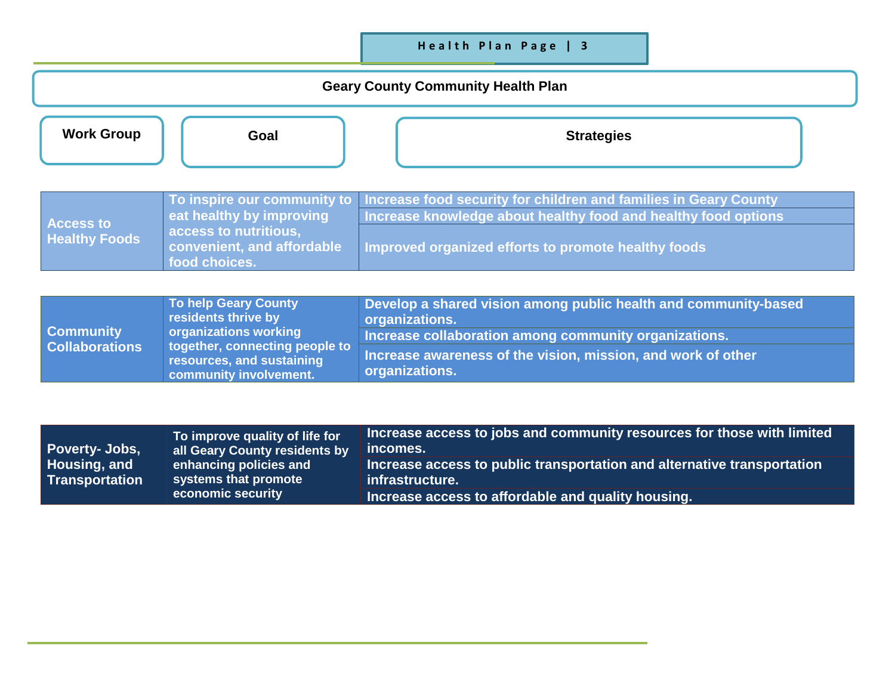## **Health Plan Page | 3**

## **Geary County Community Health Plan**

| <b>Work Group</b>                                       | Goal                                                                                                                                                                 | <b>Strategies</b>                                                                                                                                                                                                                      |
|---------------------------------------------------------|----------------------------------------------------------------------------------------------------------------------------------------------------------------------|----------------------------------------------------------------------------------------------------------------------------------------------------------------------------------------------------------------------------------------|
| <b>Access to</b><br><b>Healthy Foods</b>                | To inspire our community to<br>eat healthy by improving<br>access to nutritious,<br>convenient, and affordable<br>food choices.                                      | Increase food security for children and families in Geary County<br>Increase knowledge about healthy food and healthy food options<br>Improved organized efforts to promote healthy foods                                              |
| <b>Community</b><br><b>Collaborations</b>               | <b>To help Geary County</b><br>residents thrive by<br>organizations working<br>together, connecting people to<br>resources, and sustaining<br>community involvement. | Develop a shared vision among public health and community-based<br>organizations.<br>Increase collaboration among community organizations.<br>Increase awareness of the vision, mission, and work of other<br>organizations.           |
| Poverty- Jobs,<br>Housing, and<br><b>Transportation</b> | To improve quality of life for<br>all Geary County residents by<br>enhancing policies and<br>systems that promote<br>economic security                               | Increase access to jobs and community resources for those with limited<br>incomes.<br>Increase access to public transportation and alternative transportation<br>infrastructure.<br>Increase access to affordable and quality housing. |

**Increase access to affordable and quality housing.**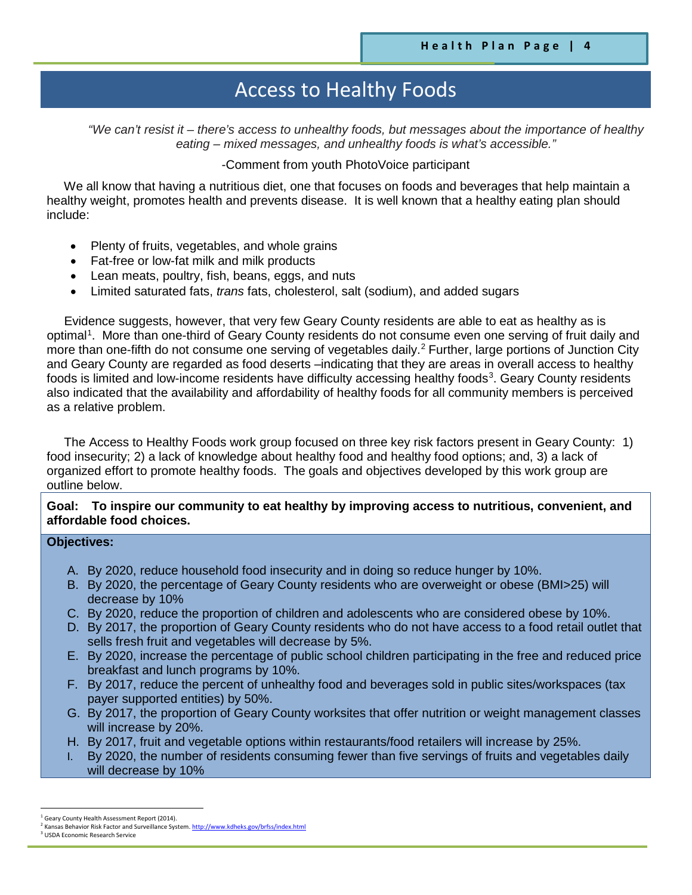# Access to Healthy Foods

*"We can't resist it – there's access to unhealthy foods, but messages about the importance of healthy eating – mixed messages, and unhealthy foods is what's accessible."*

-Comment from youth PhotoVoice participant

 We all know that having a nutritious diet, one that focuses on foods and beverages that help maintain a healthy weight, promotes health and prevents disease. It is well known that a healthy eating plan should include:

- Plenty of fruits, vegetables, and whole grains
- Fat-free or low-fat milk and milk products
- Lean meats, poultry, fish, beans, eggs, and nuts
- Limited saturated fats, *trans* fats, cholesterol, salt (sodium), and added sugars

 Evidence suggests, however, that very few Geary County residents are able to eat as healthy as is optimal<sup>1</sup>. More than one-third of Geary County residents do not consume even one serving of fruit daily and more than one-fifth do not consume one serving of vegetables daily.<sup>[2](#page-3-1)</sup> Further, large portions of Junction City and Geary County are regarded as food deserts –indicating that they are areas in overall access to healthy foods is limited and low-income residents have difficulty accessing healthy foods<sup>[3](#page-3-2)</sup>. Geary County residents also indicated that the availability and affordability of healthy foods for all community members is perceived as a relative problem.

 The Access to Healthy Foods work group focused on three key risk factors present in Geary County: 1) food insecurity; 2) a lack of knowledge about healthy food and healthy food options; and, 3) a lack of organized effort to promote healthy foods. The goals and objectives developed by this work group are outline below.

#### **Goal: To inspire our community to eat healthy by improving access to nutritious, convenient, and affordable food choices.**

### **Objectives:**

- A. By 2020, reduce household food insecurity and in doing so reduce hunger by 10%.
- B. By 2020, the percentage of Geary County residents who are overweight or obese (BMI>25) will decrease by 10%
- C. By 2020, reduce the proportion of children and adolescents who are considered obese by 10%.
- D. By 2017, the proportion of Geary County residents who do not have access to a food retail outlet that sells fresh fruit and vegetables will decrease by 5%.
- E. By 2020, increase the percentage of public school children participating in the free and reduced price breakfast and lunch programs by 10%.
- F. By 2017, reduce the percent of unhealthy food and beverages sold in public sites/workspaces (tax payer supported entities) by 50%.
- G. By 2017, the proportion of Geary County worksites that offer nutrition or weight management classes will increase by 20%.
- H. By 2017, fruit and vegetable options within restaurants/food retailers will increase by 25%.
- I. By 2020, the number of residents consuming fewer than five servings of fruits and vegetables daily will decrease by 10%

l

<span id="page-3-0"></span><sup>&</sup>lt;sup>1</sup> Geary County Health Assessment Report (2014).<br><sup>2</sup> Kansas Behavior Risk Factor and Surveillance System. <u>http://www.kdheks.gov/brfss/index.html</u><br><sup>3</sup> USDA Economic Research Service

<span id="page-3-2"></span><span id="page-3-1"></span>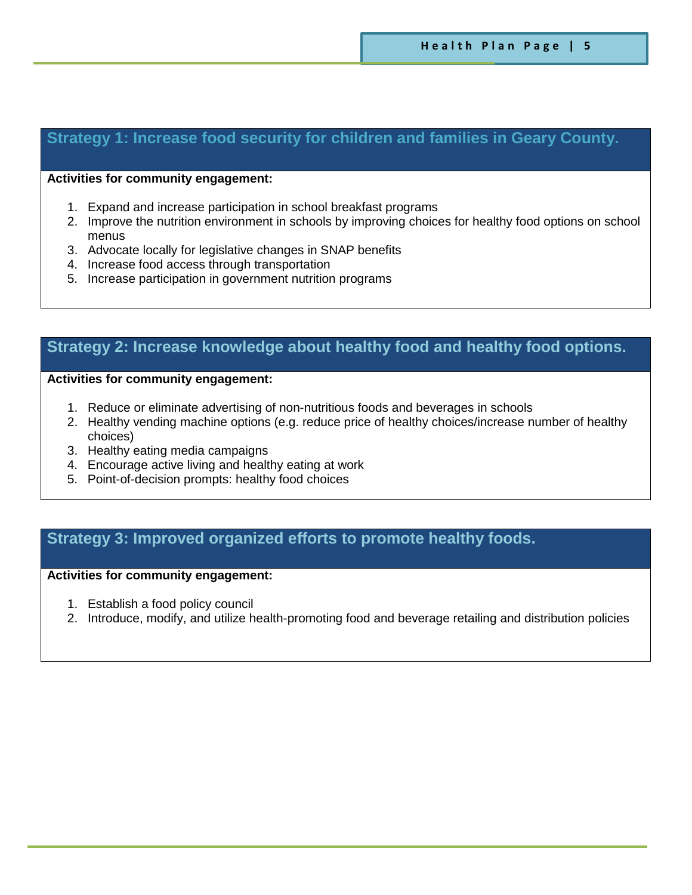## **Strategy 1: Increase food security for children and families in Geary County.**

#### **Activities for community engagement:**

- 1. Expand and increase participation in school breakfast programs
- 2. Improve the nutrition environment in schools by improving choices for healthy food options on school menus
- 3. Advocate locally for legislative changes in SNAP benefits
- 4. Increase food access through transportation
- 5. Increase participation in government nutrition programs

## **Strategy 2: Increase knowledge about healthy food and healthy food options.**

#### **Activities for community engagement:**

- 1. Reduce or eliminate advertising of non-nutritious foods and beverages in schools
- 2. Healthy vending machine options (e.g. reduce price of healthy choices/increase number of healthy choices)
- 3. Healthy eating media campaigns

**-nutritious foods and beverages in schools**

- 4. Encourage active living and healthy eating at work
- 5. Point-of-decision prompts: healthy food choices

## **Strategy 3: Improved organized efforts to promote healthy foods.**

#### **Activities for community engagement:**

- 1. Establish a food policy council
- 2. Introduce, modify, and utilize health-promoting food and beverage retailing and distribution policies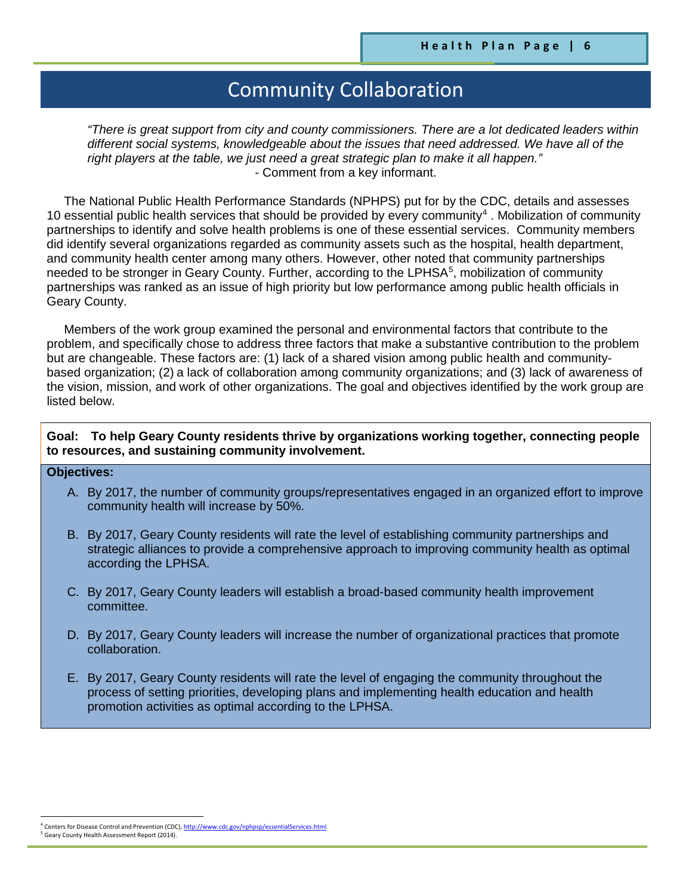# Community Collaboration

*"There is great support from city and county commissioners. There are a lot dedicated leaders within different social systems, knowledgeable about the issues that need addressed. We have all of the right players at the table, we just need a great strategic plan to make it all happen."* - Comment from a key informant.

 The National Public Health Performance Standards (NPHPS) put for by the CDC, details and assesses 10 essential public health services that should be provided by every community<sup>[4](#page-5-0)</sup>. Mobilization of community partnerships to identify and solve health problems is one of these essential services. Community members did identify several organizations regarded as community assets such as the hospital, health department, and community health center among many others. However, other noted that community partnerships needed to be stronger in Geary County. Further, according to the LPHSA<sup>[5](#page-5-1)</sup>, mobilization of community partnerships was ranked as an issue of high priority but low performance among public health officials in Geary County.

 Members of the work group examined the personal and environmental factors that contribute to the problem, and specifically chose to address three factors that make a substantive contribution to the problem but are changeable. These factors are: (1) lack of a shared vision among public health and communitybased organization; (2) a lack of collaboration among community organizations; and (3) lack of awareness of the vision, mission, and work of other organizations. The goal and objectives identified by the work group are listed below.

#### **Goal: To help Geary County residents thrive by organizations working together, connecting people to resources, and sustaining community involvement.**

#### **Objectives:**

- A. By 2017, the number of community groups/representatives engaged in an organized effort to improve community health will increase by 50%.
- B. By 2017, Geary County residents will rate the level of establishing community partnerships and strategic alliances to provide a comprehensive approach to improving community health as optimal according the LPHSA.
- C. By 2017, Geary County leaders will establish a broad-based community health improvement committee.
- D. By 2017, Geary County leaders will increase the number of organizational practices that promote collaboration.
- E. By 2017, Geary County residents will rate the level of engaging the community throughout the process of setting priorities, developing plans and implementing health education and health promotion activities as optimal according to the LPHSA.

 $\overline{\phantom{a}}$ 

<sup>&</sup>lt;sup>4</sup> Centers for Disease Control and Prevention (CDC)[, http://www.cdc.gov/nphpsp/essentialServices.html](http://www.cdc.gov/nphpsp/essentialServices.html)

<span id="page-5-1"></span><span id="page-5-0"></span><sup>&</sup>lt;sup>5</sup> Geary County Health Assessment Report (2014).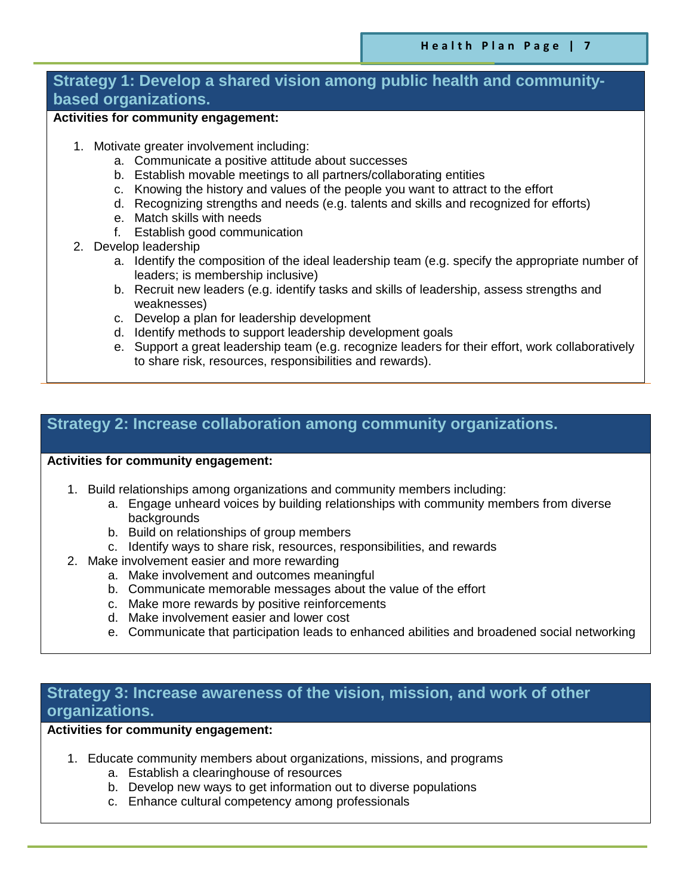### **Strategy 1: Develop a shared vision among public health and communitybased organizations.**

### **Activities for community engagement:**

- 1. Motivate greater involvement including:
	- a. Communicate a positive attitude about successes
	- b. Establish movable meetings to all partners/collaborating entities
	- c. Knowing the history and values of the people you want to attract to the effort
	- d. Recognizing strengths and needs (e.g. talents and skills and recognized for efforts)
	- e. Match skills with needs
	- f. Establish good communication
- 2. Develop leadership
	- a. Identify the composition of the ideal leadership team (e.g. specify the appropriate number of leaders; is membership inclusive)
	- b. Recruit new leaders (e.g. identify tasks and skills of leadership, assess strengths and weaknesses)
	- c. Develop a plan for leadership development
	- d. Identify methods to support leadership development goals
	- e. Support a great leadership team (e.g. recognize leaders for their effort, work collaboratively to share risk, resources, responsibilities and rewards).

## **Strategy 2: Increase collaboration among community organizations.**

#### **Activities for community engagement:**

- 1. Build relationships among organizations and community members including:
	- a. Engage unheard voices by building relationships with community members from diverse backgrounds
	- b. Build on relationships of group members
	- c. Identify ways to share risk, resources, responsibilities, and rewards
- 2. Make involvement easier and more rewarding
	- a. Make involvement and outcomes meaningful
	- b. Communicate memorable messages about the value of the effort
	- c. Make more rewards by positive reinforcements
	- d. Make involvement easier and lower cost
	- e. Communicate that participation leads to enhanced abilities and broadened social networking

## **Strategy 3: Increase awareness of the vision, mission, and work of other organizations.**

**Activities for community engagement:** 

- 1. Educate community members about organizations, missions, and programs
	- a. Establish a clearinghouse of resources
	- b. Develop new ways to get information out to diverse populations
	- c. Enhance cultural competency among professionals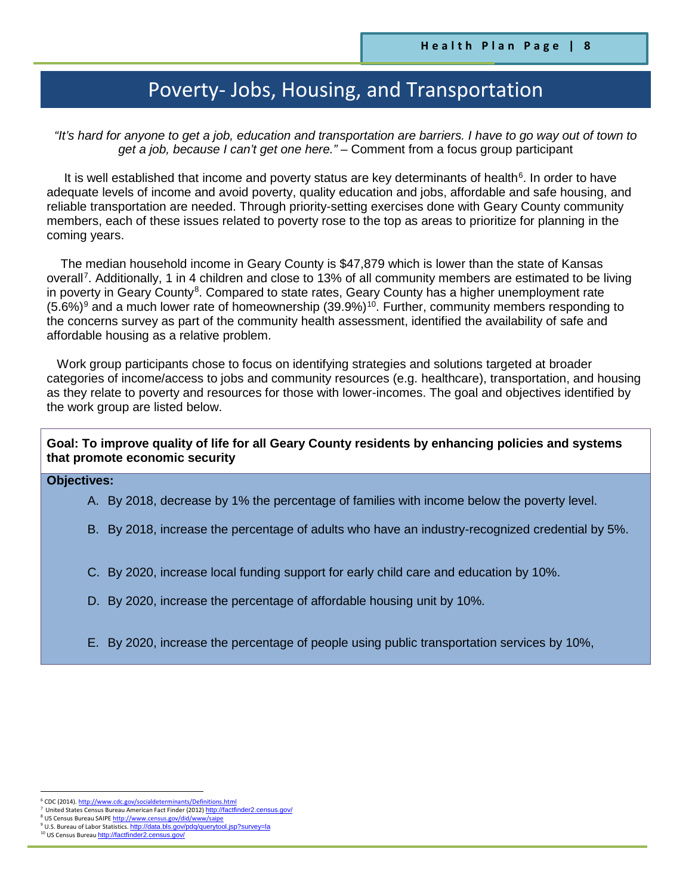# Poverty- Jobs, Housing, and Transportation

*"It's hard for anyone to get a job, education and transportation are barriers. I have to go way out of town to get a job, because I can't get one here." –* Comment from a focus group participant

It is well established that income and poverty status are key determinants of health $6$ . In order to have adequate levels of income and avoid poverty, quality education and jobs, affordable and safe housing, and reliable transportation are needed. Through priority-setting exercises done with Geary County community members, each of these issues related to poverty rose to the top as areas to prioritize for planning in the coming years.

 The median household income in Geary County is \$47,879 which is lower than the state of Kansas overall<sup>[7](#page-7-1)</sup>. Additionally, 1 in 4 children and close to 13% of all community members are estimated to be living in poverty in Geary County<sup>[8](#page-7-2)</sup>. Compared to state rates, Geary County has a higher unemployment rate  $(5.6\%)^9$  $(5.6\%)^9$  and a much lower rate of homeownership  $(39.9\%)^{10}$ . Further, community members responding to the concerns survey as part of the community health assessment, identified the availability of safe and affordable housing as a relative problem.

 Work group participants chose to focus on identifying strategies and solutions targeted at broader categories of income/access to jobs and community resources (e.g. healthcare), transportation, and housing as they relate to poverty and resources for those with lower-incomes. The goal and objectives identified by the work group are listed below.

#### **Goal: To improve quality of life for all Geary County residents by enhancing policies and systems that promote economic security**

#### **Objectives:**

- A. By 2018, decrease by 1% the percentage of families with income below the poverty level.
- B. By 2018, increase the percentage of adults who have an industry-recognized credential by 5%.
- C. By 2020, increase local funding support for early child care and education by 10%.
- D. By 2020, increase the percentage of affordable housing unit by 10%.
- E. By 2020, increase the percentage of people using public transportation services by 10%,

l

<span id="page-7-1"></span><span id="page-7-0"></span><sup>&</sup>lt;sup>6</sup> CDC (2014)[. http://www.cdc.gov/socialdeterminants/Definitions.html](http://www.cdc.gov/socialdeterminants/Definitions.html)

United States Census Bureau American Fact Finder (2012) http://factfin

US Census Bureau SAIP[E http://www.census.gov/did/www/saipe](http://www.census.gov/did/www/saipe) <sup>9</sup> U.S. Bureau of Labor Statistics. <u><http://data.bls.gov/pdq/querytool.jsp?survey=la></u><br><sup>10</sup> US Census Bureau <u>http://factfinder2.census.gov/</u>

<span id="page-7-4"></span><span id="page-7-3"></span><span id="page-7-2"></span>

<sup>&</sup>lt;sup>10</sup> US Census Bureau http://factf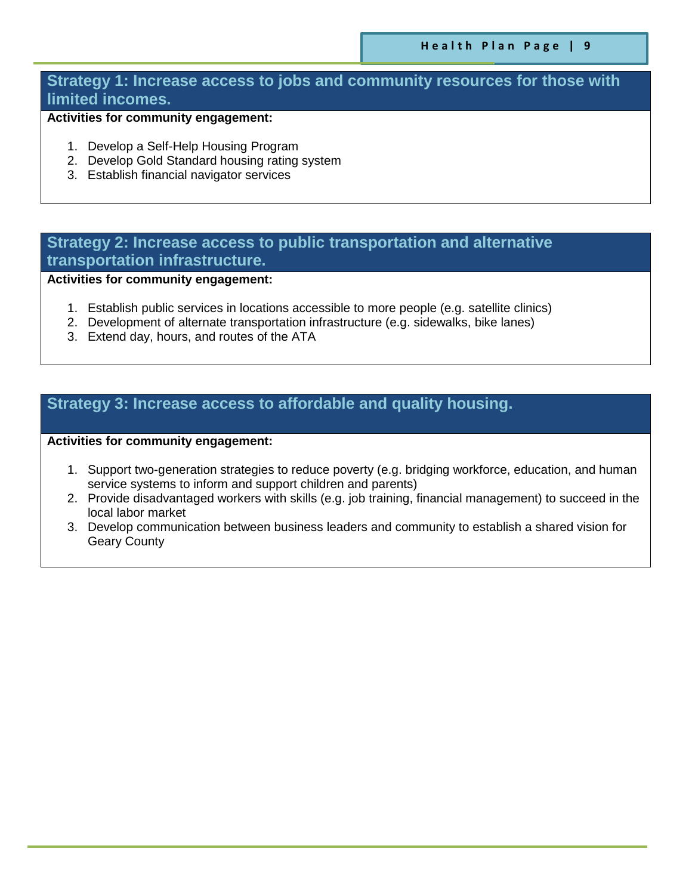### **Strategy 1: Increase access to jobs and community resources for those with limited incomes.**

### **Activities for community engagement:**

- 1. Develop a Self-Help Housing Program
- 2. Develop Gold Standard housing rating system
- 3. Establish financial navigator services

## **Strategy 2: Increase access to public transportation and alternative transportation infrastructure.**

**Activities for community engagement:** 

- 1. Establish public services in locations accessible to more people (e.g. satellite clinics)
- 2. Development of alternate transportation infrastructure (e.g. sidewalks, bike lanes)
- 3. Extend day, hours, and routes of the ATA

## **Strategy 3: Increase access to affordable and quality housing.**

**Activities for community engagement:** 

- 1. Support two-generation strategies to reduce poverty (e.g. bridging workforce, education, and human service systems to inform and support children and parents)
- 2. Provide disadvantaged workers with skills (e.g. job training, financial management) to succeed in the local labor market
- 3. Develop communication between business leaders and community to establish a shared vision for Geary County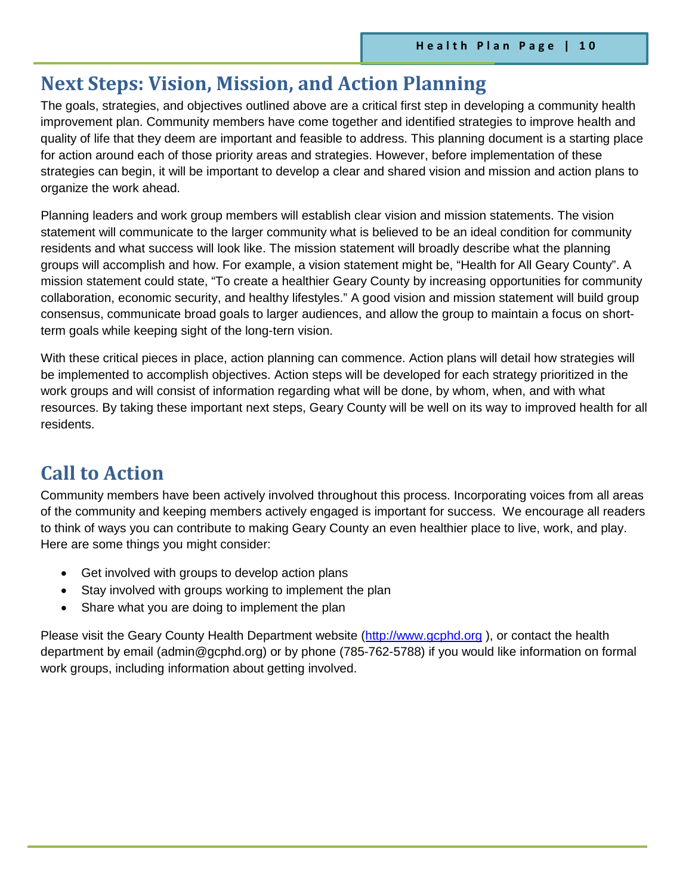## **Next Steps: Vision, Mission, and Action Planning**

The goals, strategies, and objectives outlined above are a critical first step in developing a community health improvement plan. Community members have come together and identified strategies to improve health and quality of life that they deem are important and feasible to address. This planning document is a starting place for action around each of those priority areas and strategies. However, before implementation of these strategies can begin, it will be important to develop a clear and shared vision and mission and action plans to organize the work ahead.

Planning leaders and work group members will establish clear vision and mission statements. The vision statement will communicate to the larger community what is believed to be an ideal condition for community residents and what success will look like. The mission statement will broadly describe what the planning groups will accomplish and how. For example, a vision statement might be, "Health for All Geary County". A mission statement could state, "To create a healthier Geary County by increasing opportunities for community collaboration, economic security, and healthy lifestyles." A good vision and mission statement will build group consensus, communicate broad goals to larger audiences, and allow the group to maintain a focus on shortterm goals while keeping sight of the long-tern vision.

With these critical pieces in place, action planning can commence. Action plans will detail how strategies will be implemented to accomplish objectives. Action steps will be developed for each strategy prioritized in the work groups and will consist of information regarding what will be done, by whom, when, and with what resources. By taking these important next steps, Geary County will be well on its way to improved health for all residents.

## **Call to Action**

Community members have been actively involved throughout this process. Incorporating voices from all areas of the community and keeping members actively engaged is important for success. We encourage all readers to think of ways you can contribute to making Geary County an even healthier place to live, work, and play. Here are some things you might consider:

- Get involved with groups to develop action plans
- Stay involved with groups working to implement the plan
- Share what you are doing to implement the plan

Please visit the Geary County Health Department website [\(http://www.gcphd.org](http://www.gcphd.org/) ), or contact the health department by email (admin@gcphd.org) or by phone (785-762-5788) if you would like information on formal work groups, including information about getting involved.